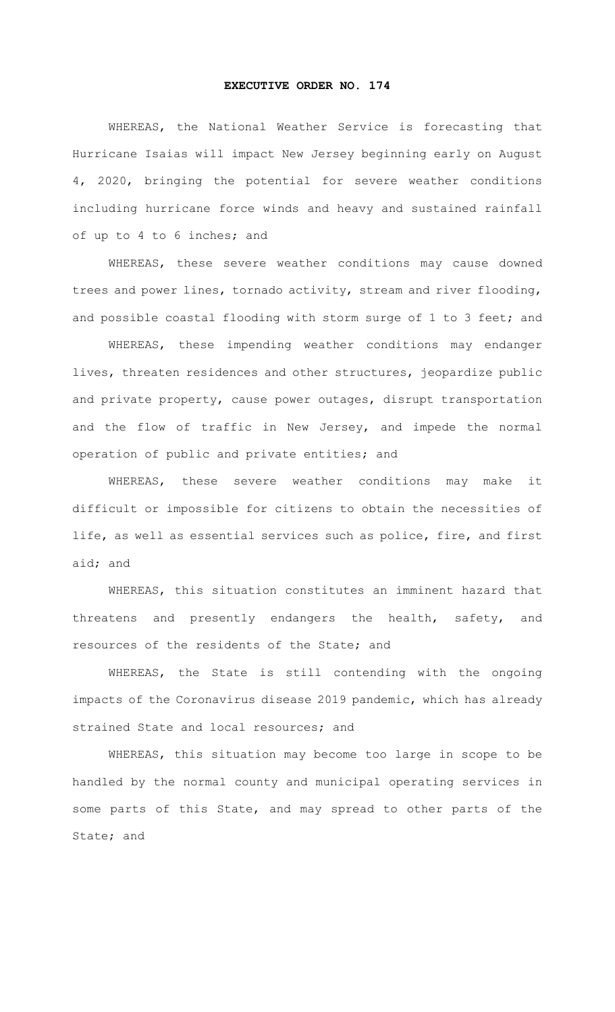## **EXECUTIVE ORDER NO. 174**

WHEREAS, the National Weather Service is forecasting that Hurricane Isaias will impact New Jersey beginning early on August 4, 2020, bringing the potential for severe weather conditions including hurricane force winds and heavy and sustained rainfall of up to 4 to 6 inches; and

WHEREAS, these severe weather conditions may cause downed trees and power lines, tornado activity, stream and river flooding, and possible coastal flooding with storm surge of 1 to 3 feet; and

WHEREAS, these impending weather conditions may endanger lives, threaten residences and other structures, jeopardize public and private property, cause power outages, disrupt transportation and the flow of traffic in New Jersey, and impede the normal operation of public and private entities; and

WHEREAS, these severe weather conditions may make it difficult or impossible for citizens to obtain the necessities of life, as well as essential services such as police, fire, and first aid; and

WHEREAS, this situation constitutes an imminent hazard that threatens and presently endangers the health, safety, and resources of the residents of the State; and

WHEREAS, the State is still contending with the ongoing impacts of the Coronavirus disease 2019 pandemic, which has already strained State and local resources; and

WHEREAS, this situation may become too large in scope to be handled by the normal county and municipal operating services in some parts of this State, and may spread to other parts of the State; and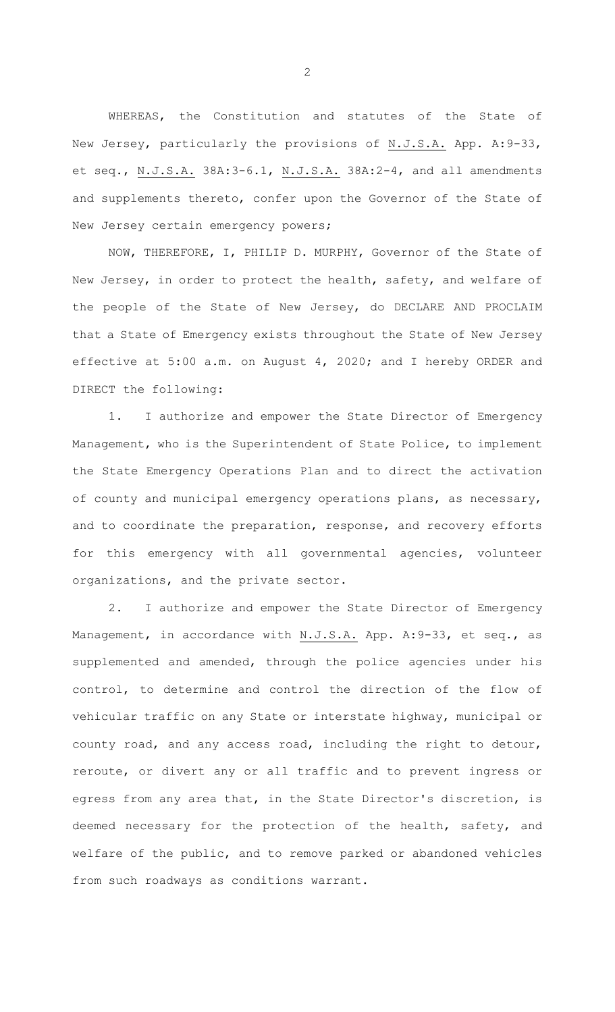WHEREAS, the Constitution and statutes of the State of New Jersey, particularly the provisions of N.J.S.A. App. A:9-33, et seq., N.J.S.A. 38A:3-6.1, N.J.S.A. 38A:2-4, and all amendments and supplements thereto, confer upon the Governor of the State of New Jersey certain emergency powers;

NOW, THEREFORE, I, PHILIP D. MURPHY, Governor of the State of New Jersey, in order to protect the health, safety, and welfare of the people of the State of New Jersey, do DECLARE AND PROCLAIM that a State of Emergency exists throughout the State of New Jersey effective at 5:00 a.m. on August 4, 2020; and I hereby ORDER and DIRECT the following:

1. I authorize and empower the State Director of Emergency Management, who is the Superintendent of State Police, to implement the State Emergency Operations Plan and to direct the activation of county and municipal emergency operations plans, as necessary, and to coordinate the preparation, response, and recovery efforts for this emergency with all governmental agencies, volunteer organizations, and the private sector.

2. I authorize and empower the State Director of Emergency Management, in accordance with N.J.S.A. App. A: 9-33, et seq., as supplemented and amended, through the police agencies under his control, to determine and control the direction of the flow of vehicular traffic on any State or interstate highway, municipal or county road, and any access road, including the right to detour, reroute, or divert any or all traffic and to prevent ingress or egress from any area that, in the State Director's discretion, is deemed necessary for the protection of the health, safety, and welfare of the public, and to remove parked or abandoned vehicles from such roadways as conditions warrant.

2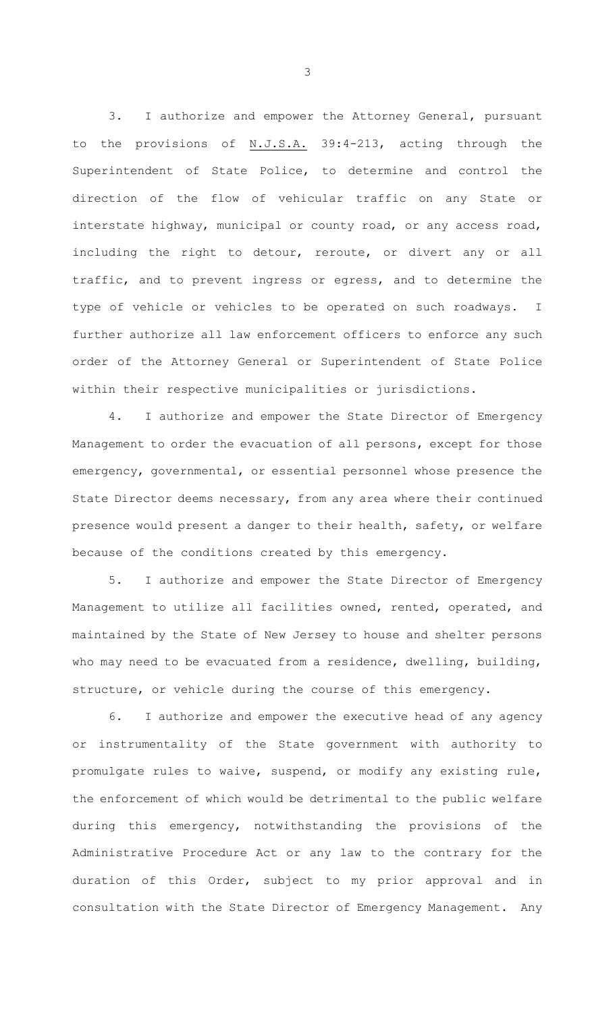3. I authorize and empower the Attorney General, pursuant to the provisions of  $N.J.S.A.$  39:4-213, acting through the Superintendent of State Police, to determine and control the direction of the flow of vehicular traffic on any State or interstate highway, municipal or county road, or any access road, including the right to detour, reroute, or divert any or all traffic, and to prevent ingress or egress, and to determine the type of vehicle or vehicles to be operated on such roadways. I further authorize all law enforcement officers to enforce any such order of the Attorney General or Superintendent of State Police within their respective municipalities or jurisdictions.

4. I authorize and empower the State Director of Emergency Management to order the evacuation of all persons, except for those emergency, governmental, or essential personnel whose presence the State Director deems necessary, from any area where their continued presence would present a danger to their health, safety, or welfare because of the conditions created by this emergency.

5. I authorize and empower the State Director of Emergency Management to utilize all facilities owned, rented, operated, and maintained by the State of New Jersey to house and shelter persons who may need to be evacuated from a residence, dwelling, building, structure, or vehicle during the course of this emergency.

6. I authorize and empower the executive head of any agency or instrumentality of the State government with authority to promulgate rules to waive, suspend, or modify any existing rule, the enforcement of which would be detrimental to the public welfare during this emergency, notwithstanding the provisions of the Administrative Procedure Act or any law to the contrary for the duration of this Order, subject to my prior approval and in consultation with the State Director of Emergency Management. Any

3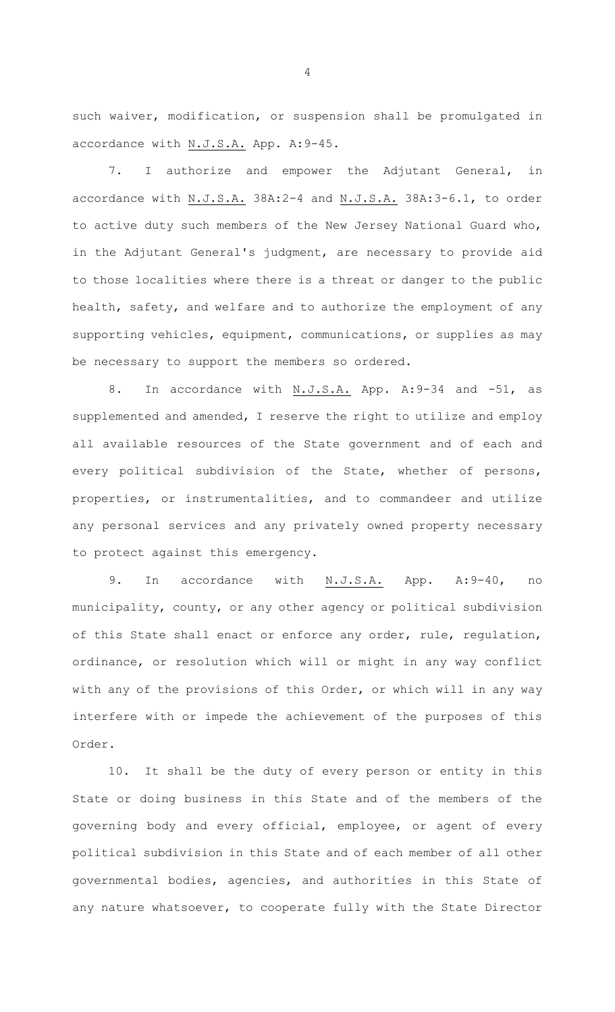such waiver, modification, or suspension shall be promulgated in accordance with N.J.S.A. App. A:9-45.

7. I authorize and empower the Adjutant General, in accordance with N.J.S.A. 38A:2-4 and N.J.S.A. 38A:3-6.1, to order to active duty such members of the New Jersey National Guard who, in the Adjutant General's judgment, are necessary to provide aid to those localities where there is a threat or danger to the public health, safety, and welfare and to authorize the employment of any supporting vehicles, equipment, communications, or supplies as may be necessary to support the members so ordered.

8. In accordance with N.J.S.A. App. A:9-34 and -51, as supplemented and amended, I reserve the right to utilize and employ all available resources of the State government and of each and every political subdivision of the State, whether of persons, properties, or instrumentalities, and to commandeer and utilize any personal services and any privately owned property necessary to protect against this emergency.

9. In accordance with N.J.S.A. App. A:9-40, no municipality, county, or any other agency or political subdivision of this State shall enact or enforce any order, rule, regulation, ordinance, or resolution which will or might in any way conflict with any of the provisions of this Order, or which will in any way interfere with or impede the achievement of the purposes of this Order.

10. It shall be the duty of every person or entity in this State or doing business in this State and of the members of the governing body and every official, employee, or agent of every political subdivision in this State and of each member of all other governmental bodies, agencies, and authorities in this State of any nature whatsoever, to cooperate fully with the State Director

4